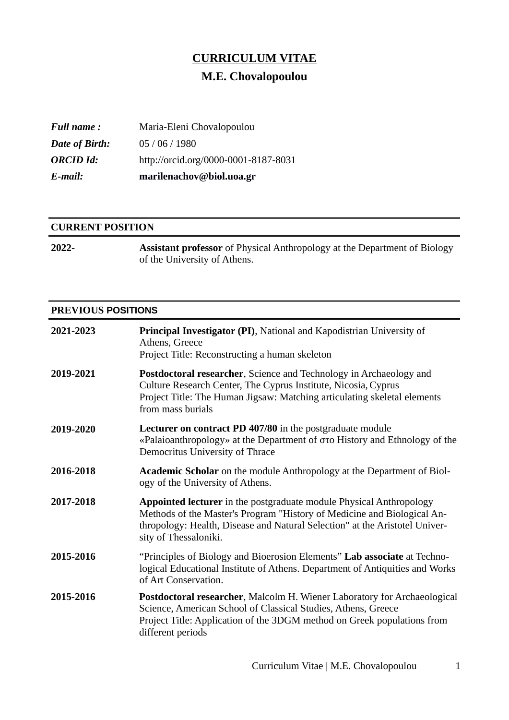# **CURRICULUM VITAE**

# **M.E. Chovalopoulou**

| E-mail:           | marilenachov@biol.uoa.gr             |
|-------------------|--------------------------------------|
| <b>ORCID Id:</b>  | http://orcid.org/0000-0001-8187-8031 |
| Date of Birth:    | 05/06/1980                           |
| <b>Full name:</b> | Maria-Eleni Chovalopoulou            |

#### **CURRENT POSITION**

| 2022- | <b>Assistant professor</b> of Physical Anthropology at the Department of Biology |
|-------|----------------------------------------------------------------------------------|
|       | of the University of Athens.                                                     |

#### **PREVIOUS POSITIONS**

| 2021-2023 | <b>Principal Investigator (PI)</b> , National and Kapodistrian University of<br>Athens, Greece<br>Project Title: Reconstructing a human skeleton                                                                                                              |
|-----------|---------------------------------------------------------------------------------------------------------------------------------------------------------------------------------------------------------------------------------------------------------------|
| 2019-2021 | <b>Postdoctoral researcher</b> , Science and Technology in Archaeology and<br>Culture Research Center, The Cyprus Institute, Nicosia, Cyprus<br>Project Title: The Human Jigsaw: Matching articulating skeletal elements<br>from mass burials                 |
| 2019-2020 | Lecturer on contract PD 407/80 in the postgraduate module<br>«Palaioanthropology» at the Department of στο History and Ethnology of the<br>Democritus University of Thrace                                                                                    |
| 2016-2018 | <b>Academic Scholar</b> on the module Anthropology at the Department of Biol-<br>ogy of the University of Athens.                                                                                                                                             |
| 2017-2018 | <b>Appointed lecturer</b> in the postgraduate module Physical Anthropology<br>Methods of the Master's Program "History of Medicine and Biological An-<br>thropology: Health, Disease and Natural Selection" at the Aristotel Univer-<br>sity of Thessaloniki. |
| 2015-2016 | "Principles of Biology and Bioerosion Elements" Lab associate at Techno-<br>logical Educational Institute of Athens. Department of Antiquities and Works<br>of Art Conservation.                                                                              |
| 2015-2016 | <b>Postdoctoral researcher, Malcolm H. Wiener Laboratory for Archaeological</b><br>Science, American School of Classical Studies, Athens, Greece<br>Project Title: Application of the 3DGM method on Greek populations from<br>different periods              |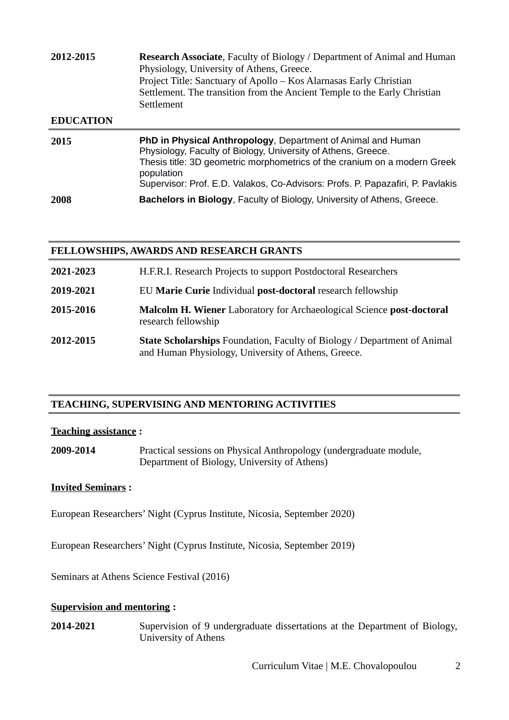| 2012-2015        | Research Associate, Faculty of Biology / Department of Animal and Human<br>Physiology, University of Athens, Greece.<br>Project Title: Sanctuary of Apollo - Kos Alarnasas Early Christian<br>Settlement. The transition from the Ancient Temple to the Early Christian<br>Settlement                             |
|------------------|-------------------------------------------------------------------------------------------------------------------------------------------------------------------------------------------------------------------------------------------------------------------------------------------------------------------|
| <b>EDUCATION</b> |                                                                                                                                                                                                                                                                                                                   |
| 2015             | <b>PhD in Physical Anthropology, Department of Animal and Human</b><br>Physiology, Faculty of Biology, University of Athens, Greece.<br>Thesis title: 3D geometric morphometrics of the cranium on a modern Greek<br>population<br>Supervisor: Prof. E.D. Valakos, Co-Advisors: Profs. P. Papazafiri, P. Pavlakis |

**2008 Bachelors in Biology**, Faculty of Biology, University of Athens, Greece.

#### **FELLOWSHIPS, AWARDS AND RESEARCH GRANTS**

| 2021-2023 | H.F.R.I. Research Projects to support Postdoctoral Researchers                                                                         |
|-----------|----------------------------------------------------------------------------------------------------------------------------------------|
| 2019-2021 | EU Marie Curie Individual post-doctoral research fellowship                                                                            |
| 2015-2016 | <b>Malcolm H. Wiener</b> Laboratory for Archaeological Science <b>post-doctoral</b><br>research fellowship                             |
| 2012-2015 | <b>State Scholarships Foundation, Faculty of Biology / Department of Animal</b><br>and Human Physiology, University of Athens, Greece. |

# **TEACHING, SUPERVISING AND MENTORING ACTIVITIES**

#### **Teaching assistance :**

**2009-2014** Practical sessions on Physical Anthropology (undergraduate module, Department of Biology, University of Athens)

## **Invited Seminars :**

European Researchers' Night (Cyprus Institute, Nicosia, September 2020)

European Researchers' Night (Cyprus Institute, Nicosia, September 2019)

Seminars at Athens Science Festival (2016)

#### **Supervision and mentoring :**

**2014-2021** Supervision of 9 undergraduate dissertations at the Department of Biology, University of Athens

Curriculum Vitae | M.E. Chovalopoulou 2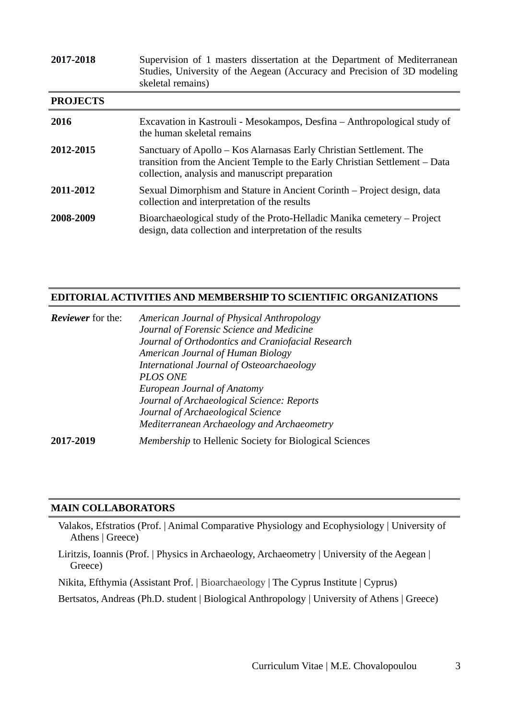| 2017-2018       | Supervision of 1 masters dissertation at the Department of Mediterranean<br>Studies, University of the Aegean (Accuracy and Precision of 3D modeling<br>skeletal remains)                             |
|-----------------|-------------------------------------------------------------------------------------------------------------------------------------------------------------------------------------------------------|
| <b>PROJECTS</b> |                                                                                                                                                                                                       |
| 2016            | Excavation in Kastrouli - Mesokampos, Desfina - Anthropological study of<br>the human skeletal remains                                                                                                |
| 2012-2015       | Sanctuary of Apollo – Kos Alarnasas Early Christian Settlement. The<br>transition from the Ancient Temple to the Early Christian Settlement - Data<br>collection, analysis and manuscript preparation |
| 2011-2012       | Sexual Dimorphism and Stature in Ancient Corinth – Project design, data<br>collection and interpretation of the results                                                                               |
| 2008-2009       | Bioarchaeological study of the Proto-Helladic Manika cemetery - Project<br>design, data collection and interpretation of the results                                                                  |

# **EDITORIAL ACTIVITIES AND MEMBERSHIP TO SCIENTIFIC ORGANIZATIONS**

| <b>Reviewer</b> for the: | American Journal of Physical Anthropology                     |
|--------------------------|---------------------------------------------------------------|
|                          | Journal of Forensic Science and Medicine                      |
|                          | Journal of Orthodontics and Craniofacial Research             |
|                          | American Journal of Human Biology                             |
|                          | International Journal of Osteoarchaeology                     |
|                          | <b>PLOS ONE</b>                                               |
|                          | <b>European Journal of Anatomy</b>                            |
|                          | Journal of Archaeological Science: Reports                    |
|                          | Journal of Archaeological Science                             |
|                          | Mediterranean Archaeology and Archaeometry                    |
| 2017-2019                | <i>Membership</i> to Hellenic Society for Biological Sciences |

#### **MAIN COLLABORATORS**

 Valakos, Efstratios (Prof. | Animal Comparative Physiology and Ecophysiology | University of Athens | Greece)

 Liritzis, Ioannis (Prof. | Physics in Archaeology, Archaeometry | University of the Aegean | Greece)

Nikita, Efthymia (Assistant Prof. | Bioarchaeology | The Cyprus Institute | Cyprus)

Bertsatos, Andreas (Ph.D. student | Biological Anthropology | University of Athens | Greece)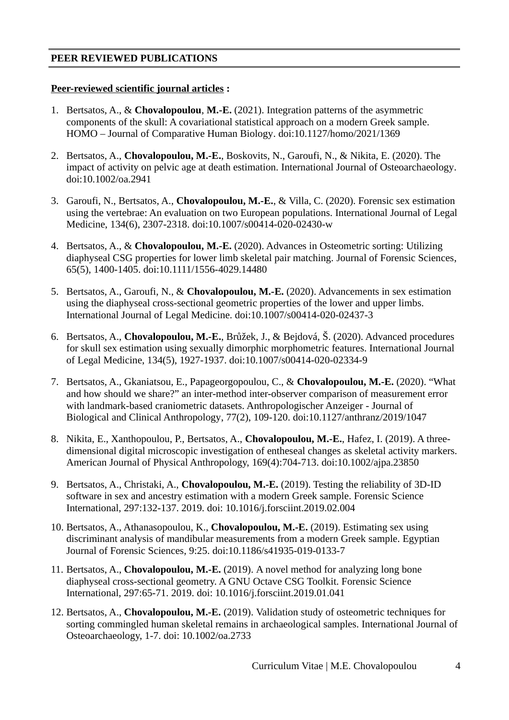## **PEER REVIEWED PUBLICATIONS**

#### **Peer-reviewed scientific journal articles :**

- 1. Bertsatos, A., & **Chovalopoulou**, **M.-E.** (2021). Integration patterns of the asymmetric components of the skull: A covariational statistical approach on a modern Greek sample. HOMO – Journal of Comparative Human Biology. doi:10.1127/homo/2021/1369
- 2. Bertsatos, A., **Chovalopoulou, M.-E.**, Boskovits, N., Garoufi, N., & Nikita, E. (2020). The impact of activity on pelvic age at death estimation. International Journal of Osteoarchaeology. doi:10.1002/oa.2941
- 3. Garoufi, N., Bertsatos, A., **Chovalopoulou, M.-E.**, & Villa, C. (2020). Forensic sex estimation using the vertebrae: An evaluation on two European populations. International Journal of Legal Medicine, 134(6), 2307-2318. doi:10.1007/s00414-020-02430-w
- 4. Bertsatos, A., & **Chovalopoulou, M.-E.** (2020). Advances in Osteometric sorting: Utilizing diaphyseal CSG properties for lower limb skeletal pair matching. Journal of Forensic Sciences, 65(5), 1400-1405. doi:10.1111/1556-4029.14480
- 5. Bertsatos, A., Garoufi, N., & **Chovalopoulou, M.-E.** (2020). Advancements in sex estimation using the diaphyseal cross-sectional geometric properties of the lower and upper limbs. International Journal of Legal Medicine. doi:10.1007/s00414-020-02437-3
- 6. Bertsatos, A., **Chovalopoulou, M.-E.**, Brůžek, J., & Bejdová, Š. (2020). Advanced procedures for skull sex estimation using sexually dimorphic morphometric features. International Journal of Legal Medicine, 134(5), 1927-1937. doi:10.1007/s00414-020-02334-9
- 7. Bertsatos, A., Gkaniatsou, E., Papageorgopoulou, C., & **Chovalopoulou, M.-E.** (2020). "What and how should we share?" an inter-method inter-observer comparison of measurement error with landmark-based craniometric datasets. Anthropologischer Anzeiger - Journal of Biological and Clinical Anthropology, 77(2), 109-120. doi:10.1127/anthranz/2019/1047
- 8. Nikita, E., Xanthopoulou, P., Bertsatos, A., **Chovalopoulou, M.-E.**, Hafez, I. (2019). A three‐ dimensional digital microscopic investigation of entheseal changes as skeletal activity markers. American Journal of Physical Anthropology, 169(4):704-713. doi:10.1002/ajpa.23850
- 9. Bertsatos, A., Christaki, A., **Chovalopoulou, M.-E.** (2019). Testing the reliability of 3D-ID software in sex and ancestry estimation with a modern Greek sample. Forensic Science International, 297:132-137. 2019. doi: 10.1016/j.forsciint.2019.02.004
- 10. Bertsatos, A., Athanasopoulou, K., **Chovalopoulou, M.-E.** (2019). Estimating sex using discriminant analysis of mandibular measurements from a modern Greek sample. Egyptian Journal of Forensic Sciences, 9:25. doi:10.1186/s41935-019-0133-7
- 11. Bertsatos, A., **Chovalopoulou, M.-E.** (2019). A novel method for analyzing long bone diaphyseal cross-sectional geometry. A GNU Octave CSG Toolkit. Forensic Science International, 297:65-71. 2019. doi: 10.1016/j.forsciint.2019.01.041
- 12. Bertsatos, A., **Chovalopoulou, M.-E.** (2019). Validation study of osteometric techniques for sorting commingled human skeletal remains in archaeological samples. International Journal of Osteoarchaeology, 1-7. doi: 10.1002/oa.2733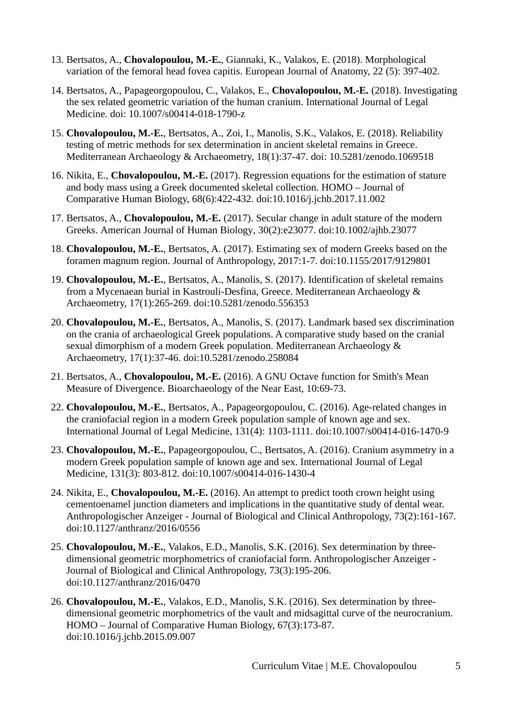- 13. Bertsatos, A., **Chovalopoulou, M.-E.**, Giannaki, K., Valakos, E. (2018). Morphological variation of the femoral head fovea capitis. European Journal of Anatomy, 22 (5): 397-402.
- 14. Bertsatos, A., Papageorgopoulou, C., Valakos, E., **Chovalopoulou, M.-E.** (2018). Investigating the sex related geometric variation of the human cranium. International Journal of Legal Medicine. doi: 10.1007/s00414-018-1790-z
- 15. **Chovalopoulou, M.-E.**, Bertsatos, A., Zoi, I., Manolis, S.K., Valakos, E. (2018). Reliability testing of metric methods for sex determination in ancient skeletal remains in Greece. Mediterranean Archaeology & Archaeometry, 18(1):37-47. doi: 10.5281/zenodo.1069518
- 16. Nikita, E., **Chovalopoulou, M.-E.** (2017). Regression equations for the estimation of stature and body mass using a Greek documented skeletal collection. HOMO – Journal of Comparative Human Biology, 68(6):422-432. doi:10.1016/j.jchb.2017.11.002
- 17. Bertsatos, A., **Chovalopoulou, M.-E.** (2017). Secular change in adult stature of the modern Greeks. American Journal of Human Biology, 30(2):e23077. doi:10.1002/ajhb.23077
- 18. **Chovalopoulou, M.-E.**, Bertsatos, A. (2017). Estimating sex of modern Greeks based on the foramen magnum region. Journal of Anthropology, 2017:1-7. doi:10.1155/2017/9129801
- 19. **Chovalopoulou, M.-E.**, Bertsatos, A., Manolis, S. (2017). Identification of skeletal remains from a Mycenaean burial in Kastrouli-Desfina, Greece. Mediterranean Archaeology & Archaeometry, 17(1):265-269. doi:10.5281/zenodo.556353
- 20. **Chovalopoulou, M.-E.**, Bertsatos, A., Manolis, S. (2017). Landmark based sex discrimination on the crania of archaeological Greek populations. A comparative study based on the cranial sexual dimorphism of a modern Greek population. Mediterranean Archaeology & Archaeometry, 17(1):37-46. doi:10.5281/zenodo.258084
- 21. Bertsatos, A., **Chovalopoulou, M.-E.** (2016). A GNU Octave function for Smith's Mean Measure of Divergence. Bioarchaeology of the Near East, 10:69-73.
- 22. **Chovalopoulou, M.-E.**, Bertsatos, A., Papageorgopoulou, C. (2016). Age-related changes in the craniofacial region in a modern Greek population sample of known age and sex. International Journal of Legal Medicine, 131(4): 1103-1111. doi:10.1007/s00414-016-1470-9
- 23. **Chovalopoulou, M.-E.**, Papageorgopoulou, C., Bertsatos, A. (2016). Cranium asymmetry in a modern Greek population sample of known age and sex. International Journal of Legal Medicine, 131(3): 803-812. doi:10.1007/s00414-016-1430-4
- 24. Nikita, E., **Chovalopoulou, M.-E.** (2016). An attempt to predict tooth crown height using cementoenamel junction diameters and implications in the quantitative study of dental wear. Anthropologischer Anzeiger - Journal of Biological and Clinical Anthropology, 73(2):161-167. doi:10.1127/anthranz/2016/0556
- 25. **Chovalopoulou, M.-E.**, Valakos, E.D., Manolis, S.K. (2016). Sex determination by threedimensional geometric morphometrics of craniofacial form. Anthropologischer Anzeiger - Journal of Biological and Clinical Anthropology, 73(3):195-206. doi:10.1127/anthranz/2016/0470
- 26. **Chovalopoulou, M.-E.**, Valakos, E.D., Manolis, S.K. (2016). Sex determination by threedimensional geometric morphometrics of the vault and midsagittal curve of the neurocranium. HOMO – Journal of Comparative Human Biology, 67(3):173-87. doi:10.1016/j.jchb.2015.09.007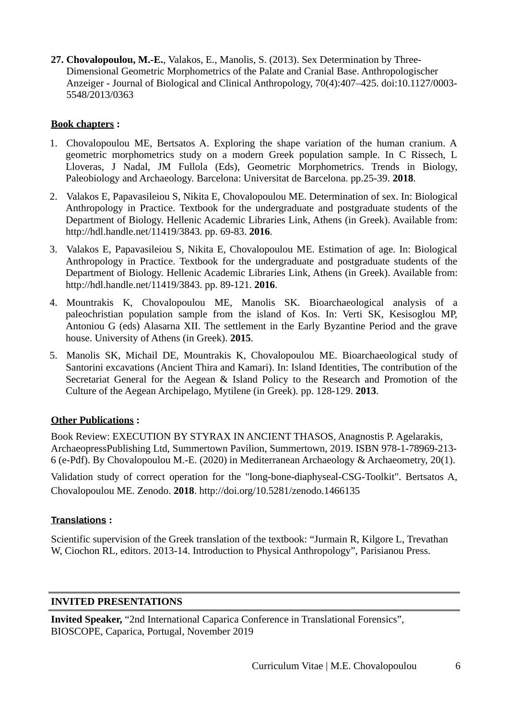**27. Chovalopoulou, M.-E.**, Valakos, E., Manolis, S. (2013). Sex Determination by Three-Dimensional Geometric Morphometrics of the Palate and Cranial Base. Anthropologischer Anzeiger - Journal of Biological and Clinical Anthropology, 70(4):407–425. doi:10.1127/0003- 5548/2013/0363

## **Book chapters :**

- 1. Chovalopoulou ME, Bertsatos A. Exploring the shape variation of the human cranium. A geometric morphometrics study on a modern Greek population sample. In C Rissech, L Lloveras, J Nadal, JM Fullola (Eds), Geometric Morphometrics. Trends in Biology, Paleobiology and Archaeology. Barcelona: Universitat de Barcelona. pp.25-39. **2018**.
- 2. Valakos E, Papavasileiou S, Nikita E, Chovalopoulou ME. Determination of sex. In: Biological Anthropology in Practice. Textbook for the undergraduate and postgraduate students of the Department of Biology. Hellenic Academic Libraries Link, Athens (in Greek). Available from: http://hdl.handle.net/11419/3843. pp. 69-83. **2016**.
- 3. Valakos E, Papavasileiou S, Nikita E, Chovalopoulou ME. Estimation of age. In: Biological Anthropology in Practice. Textbook for the undergraduate and postgraduate students of the Department of Biology. Hellenic Academic Libraries Link, Athens (in Greek). Available from: http://hdl.handle.net/11419/3843. pp. 89-121. **2016**.
- 4. Mountrakis K, Chovalopoulou ME, Manolis SK. Bioarchaeological analysis of a paleochristian population sample from the island of Kos. In: Verti SK, Kesisoglou MP, Antoniou G (eds) Αlasarna ΧΙΙ. The settlement in the Early Byzantine Period and the grave house. University of Athens (in Greek). **2015**.
- 5. Manolis SK, Michail DE, Mountrakis K, Chovalopoulou ME. Bioarchaeological study of Santorini excavations (Ancient Thira and Kamari). In: Island Identities, The contribution of the Secretariat General for the Aegean & Island Policy to the Research and Promotion of the Culture of the Aegean Archipelago, Mytilene (in Greek). pp. 128-129. **2013**.

## **Other Publications :**

Book Review: EXECUTION BY STYRAX IN ANCIENT THASOS, Anagnostis P. Agelarakis, ArchaeopressPublishing Ltd, Summertown Pavilion, Summertown, 2019. ISBN 978-1-78969-213- 6 (e-Pdf). By Chovalopoulou M.-E. (2020) in Mediterranean Archaeology & Archaeometry, 20(1).

Validation study of correct operation for the "long-bone-diaphyseal-CSG-Toolkit". Bertsatos A, Chovalopoulou ME. Zenodo. **2018**. http://doi.org/10.5281/zenodo.1466135

## **Translations :**

Scientific supervision of the Greek translation of the textbook: "Jurmain R, Kilgore L, Trevathan W, Ciochon RL, editors. 2013-14. Introduction to Physical Anthropology", Parisianou Press.

## **INVITED PRESENTATIONS**

**Invited Speaker,** "2nd International Caparica Conference in Translational Forensics", BIOSCOPE, Caparica, Portugal, November 2019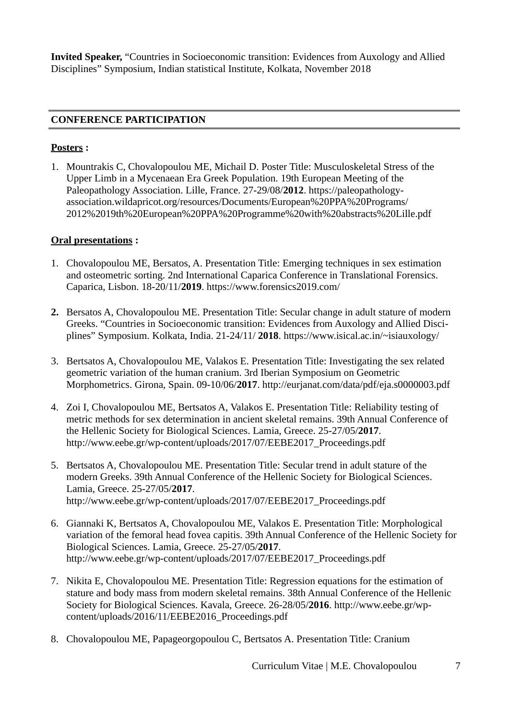**Invited Speaker,** "Countries in Socioeconomic transition: Evidences from Auxology and Allied Disciplines" Symposium, Indian statistical Institute, Kolkata, November 2018

## **CONFERENCE PARTICIPATION**

#### **Posters :**

1. Mountrakis C, Chovalopoulou ME, Michail D. Poster Title: Musculoskeletal Stress of the Upper Limb in a Mycenaean Era Greek Population. 19th European Meeting of the Paleopathology Association. Lille, France. 27-29/08/**2012**. https://paleopathologyassociation.wildapricot.org/resources/Documents/European%20PPA%20Programs/ 2012%2019th%20European%20PPA%20Programme%20with%20abstracts%20Lille.pdf

## **Oral presentations :**

- 1. Chovalopoulou ME, Bersatos, A. Presentation Title: Emerging techniques in sex estimation and osteometric sorting. 2nd International Caparica Conference in Translational Forensics. Caparica, Lisbon. 18-20/11/**2019**. https://www.forensics2019.com/
- **2.** Bersatos A, Chovalopoulou ME. Presentation Title: Secular change in adult stature of modern Greeks. "Countries in Socioeconomic transition: Evidences from Auxology and Allied Disciplines" Symposium. Kolkata, India. 21-24/11/ **2018**. https://www.isical.ac.in/~isiauxology/
- 3. Bertsatos A, Chovalopoulou ME, Valakos E. Presentation Title: Investigating the sex related geometric variation of the human cranium. 3rd Iberian Symposium on Geometric Morphometrics. Girona, Spain. 09-10/06/**2017**. http://eurjanat.com/data/pdf/eja.s0000003.pdf
- 4. Zoi I, Chovalopoulou ME, Bertsatos A, Valakos E. Presentation Title: Reliability testing of metric methods for sex determination in ancient skeletal remains. 39th Annual Conference of the Hellenic Society for Biological Sciences. Lamia, Greece. 25-27/05/**2017**. http://www.eebe.gr/wp-content/uploads/2017/07/EEBE2017\_Proceedings.pdf
- 5. Bertsatos A, Chovalopoulou ME. Presentation Title: Secular trend in adult stature of the modern Greeks. 39th Annual Conference of the Hellenic Society for Biological Sciences. Lamia, Greece. 25-27/05/**2017**. http://www.eebe.gr/wp-content/uploads/2017/07/EEBE2017\_Proceedings.pdf
- 6. Giannaki K, Bertsatos A, Chovalopoulou ME, Valakos E. Presentation Title: Morphological variation of the femoral head fovea capitis. 39th Annual Conference of the Hellenic Society for Biological Sciences. Lamia, Greece. 25-27/05/**2017**. http://www.eebe.gr/wp-content/uploads/2017/07/EEBE2017\_Proceedings.pdf
- 7. Nikita E, Chovalopoulou ME. Presentation Title: Regression equations for the estimation of stature and body mass from modern skeletal remains. 38th Annual Conference of the Hellenic Society for Biological Sciences. Kavala, Greece. 26-28/05/**2016**. http://www.eebe.gr/wpcontent/uploads/2016/11/EEBE2016\_Proceedings.pdf
- 8. Chovalopoulou ME, Papageorgopoulou C, Bertsatos A. Presentation Title: Cranium

Curriculum Vitae | M.E. Chovalopoulou 7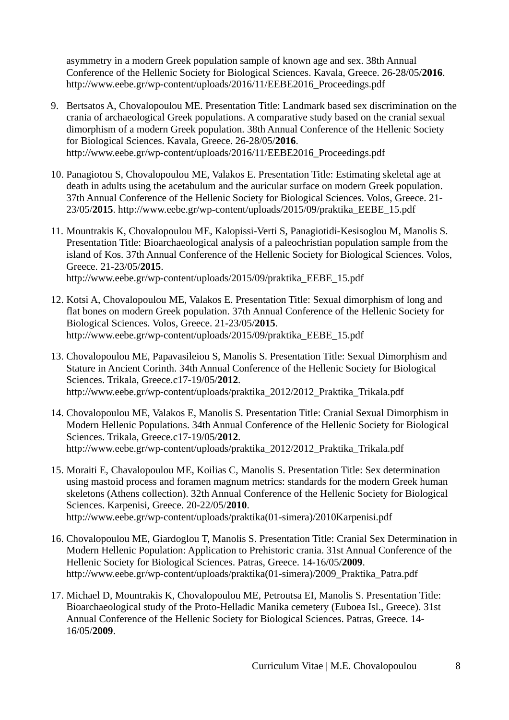asymmetry in a modern Greek population sample of known age and sex. 38th Annual Conference of the Hellenic Society for Biological Sciences. Kavala, Greece. 26-28/05/**2016**. http://www.eebe.gr/wp-content/uploads/2016/11/EEBE2016\_Proceedings.pdf

- 9. Bertsatos A, Chovalopoulou ME. Presentation Title: Landmark based sex discrimination on the crania of archaeological Greek populations. A comparative study based on the cranial sexual dimorphism of a modern Greek population. 38th Annual Conference of the Hellenic Society for Biological Sciences. Kavala, Greece. 26-28/05/**2016**. http://www.eebe.gr/wp-content/uploads/2016/11/EEBE2016\_Proceedings.pdf
- 10. Panagiotou S, Chovalopoulou ME, Valakos E. Presentation Title: Estimating skeletal age at death in adults using the acetabulum and the auricular surface on modern Greek population. 37th Annual Conference of the Hellenic Society for Biological Sciences. Volos, Greece. 21- 23/05/**2015**. http://www.eebe.gr/wp-content/uploads/2015/09/praktika\_EEBE\_15.pdf
- 11. Mountrakis K, Chovalopoulou ME, Kalopissi-Verti S, Panagiotidi-Kesisoglou M, Manolis S. Presentation Title: Bioarchaeological analysis of a paleochristian population sample from the island of Kos. 37th Annual Conference of the Hellenic Society for Biological Sciences. Volos, Greece. 21-23/05/**2015**. http://www.eebe.gr/wp-content/uploads/2015/09/praktika\_EEBE\_15.pdf
- 12. Kotsi A, Chovalopoulou ME, Valakos E. Presentation Title: Sexual dimorphism of long and flat bones on modern Greek population. 37th Annual Conference of the Hellenic Society for Biological Sciences. Volos, Greece. 21-23/05/**2015**. http://www.eebe.gr/wp-content/uploads/2015/09/praktika\_EEBE\_15.pdf
- 13. Chovalopoulou ME, Papavasileiou S, Manolis S. Presentation Title: Sexual Dimorphism and Stature in Ancient Corinth. 34th Annual Conference of the Hellenic Society for Biological Sciences. Trikala, Greece.c17-19/05/**2012**. http://www.eebe.gr/wp-content/uploads/praktika\_2012/2012\_Praktika\_Trikala.pdf
- 14. Chovalopoulou ME, Valakos E, Manolis S. Presentation Title: Cranial Sexual Dimorphism in Modern Hellenic Populations. 34th Annual Conference of the Hellenic Society for Biological Sciences. Trikala, Greece.c17-19/05/**2012**. http://www.eebe.gr/wp-content/uploads/praktika\_2012/2012\_Praktika\_Trikala.pdf
- 15. Moraiti E, Chavalopoulou ME, Koilias C, Manolis S. Presentation Title: Sex determination using mastoid process and foramen magnum metrics: standards for the modern Greek human skeletons (Athens collection). 32th Annual Conference of the Hellenic Society for Biological Sciences. Karpenisi, Greece. 20-22/05/**2010**. http://www.eebe.gr/wp-content/uploads/praktika(01-simera)/2010Karpenisi.pdf
- 16. Chovalopoulou ME, Giardoglou T, Manolis S. Presentation Title: Cranial Sex Determination in Modern Hellenic Population: Application to Prehistoric crania. 31st Annual Conference of the Hellenic Society for Biological Sciences. Patras, Greece. 14-16/05/**2009**. http://www.eebe.gr/wp-content/uploads/praktika(01-simera)/2009\_Praktika\_Patra.pdf
- 17. Michael D, Mountrakis K, Chovalopoulou ME, Petroutsa EI, Manolis S. Presentation Title: Bioarchaeological study of the Proto-Helladic Manika cemetery (Euboea Isl., Greece). 31st Annual Conference of the Hellenic Society for Biological Sciences. Patras, Greece. 14- 16/05/**2009**.